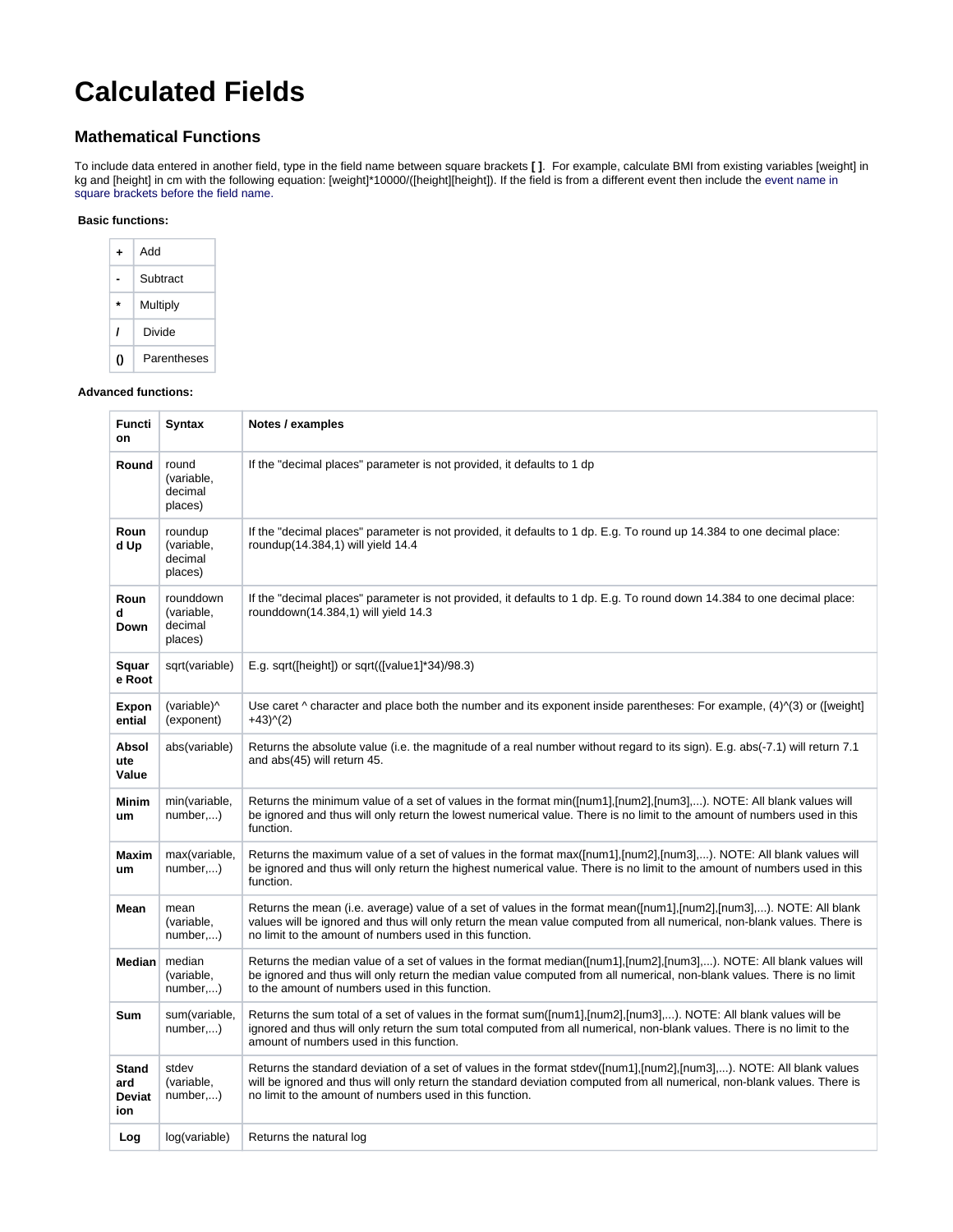# **Calculated Fields**

# **Mathematical Functions**

To include data entered in another field, type in the field name between square brackets **[ ]**. For example, calculate BMI from existing variables [weight] in kg and [height] in cm with the following equation: [weight]\*10000/([height][height]). If the field is from a different event then include the event name in square brackets before the field name.

#### **Basic functions:**

| ۰ | hhA         |
|---|-------------|
|   | Subtract    |
| ٠ | Multiply    |
| 1 | Divide      |
| י | Parentheses |

#### **Advanced functions:**

| Functi<br>on                         | <b>Syntax</b>                                 | Notes / examples                                                                                                                                                                                                                                                                                             |  |
|--------------------------------------|-----------------------------------------------|--------------------------------------------------------------------------------------------------------------------------------------------------------------------------------------------------------------------------------------------------------------------------------------------------------------|--|
| Round                                | round<br>(variable,<br>decimal<br>places)     | If the "decimal places" parameter is not provided, it defaults to 1 dp                                                                                                                                                                                                                                       |  |
| Roun<br>d Up                         | roundup<br>(variable,<br>decimal<br>places)   | If the "decimal places" parameter is not provided, it defaults to 1 dp. E.g. To round up 14.384 to one decimal place:<br>roundup(14.384,1) will yield 14.4                                                                                                                                                   |  |
| Roun<br>d<br>Down                    | rounddown<br>(variable,<br>decimal<br>places) | If the "decimal places" parameter is not provided, it defaults to 1 dp. E.g. To round down 14.384 to one decimal place:<br>rounddown(14.384,1) will yield 14.3                                                                                                                                               |  |
| Squar<br>e Root                      | sqrt(variable)                                | E.g. sqrt([height]) or sqrt(( $[value1]$ *34)/98.3)                                                                                                                                                                                                                                                          |  |
| Expon<br>ential                      | (variable)^<br>(exponent)                     | Use caret $\wedge$ character and place both the number and its exponent inside parentheses: For example, (4) $\wedge$ (3) or ([weight]<br>$+43)(2)$                                                                                                                                                          |  |
| <b>Absol</b><br>ute<br>Value         | abs(variable)                                 | Returns the absolute value (i.e. the magnitude of a real number without regard to its sign). E.g. abs(-7.1) will return 7.1<br>and abs(45) will return 45.                                                                                                                                                   |  |
| <b>Minim</b><br>um                   | min(variable,<br>number,)                     | Returns the minimum value of a set of values in the format min([num1],[num2],[num3],). NOTE: All blank values will<br>be ignored and thus will only return the lowest numerical value. There is no limit to the amount of numbers used in this<br>function.                                                  |  |
| Maxim<br>um                          | max(variable,<br>number,)                     | Returns the maximum value of a set of values in the format max([num1],[num2],[num3],). NOTE: All blank values will<br>be ignored and thus will only return the highest numerical value. There is no limit to the amount of numbers used in this<br>function.                                                 |  |
| Mean                                 | mean<br>(variable,<br>number,)                | Returns the mean (i.e. average) value of a set of values in the format mean([num1],[num2],[num3],). NOTE: All blank<br>values will be ignored and thus will only return the mean value computed from all numerical, non-blank values. There is<br>no limit to the amount of numbers used in this function.   |  |
| <b>Median</b>                        | median<br>(variable.<br>number,)              | Returns the median value of a set of values in the format median([num1],[num2],[num3],). NOTE: All blank values will<br>be ignored and thus will only return the median value computed from all numerical, non-blank values. There is no limit<br>to the amount of numbers used in this function.            |  |
| <b>Sum</b>                           | sum(variable,<br>number,)                     | Returns the sum total of a set of values in the format sum([num1],[num2],[num3],). NOTE: All blank values will be<br>ignored and thus will only return the sum total computed from all numerical, non-blank values. There is no limit to the<br>amount of numbers used in this function.                     |  |
| <b>Stand</b><br>ard<br>Deviat<br>ion | stdev<br>(variable,<br>number,)               | Returns the standard deviation of a set of values in the format stdev([num1],[num2],[num3],). NOTE: All blank values<br>will be ignored and thus will only return the standard deviation computed from all numerical, non-blank values. There is<br>no limit to the amount of numbers used in this function. |  |
| Log                                  | log(variable)                                 | Returns the natural log                                                                                                                                                                                                                                                                                      |  |